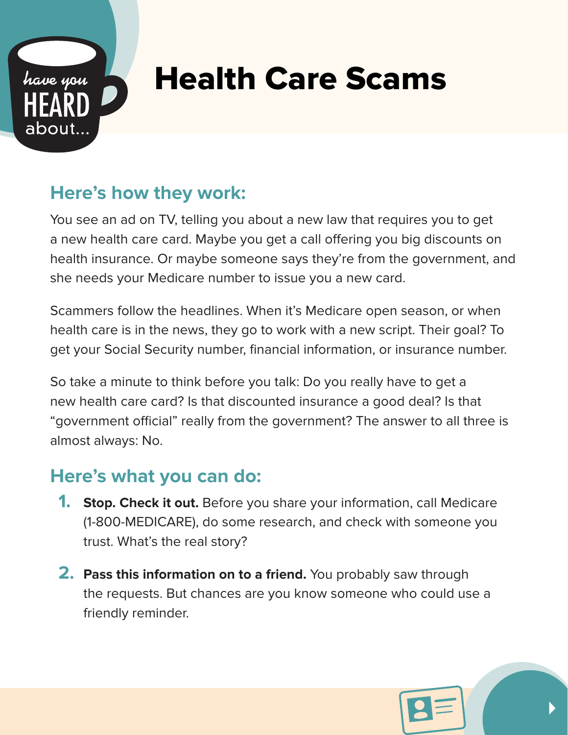

## Health Care Scams

## **Here's how they work:**

You see an ad on TV, telling you about a new law that requires you to get a new health care card. Maybe you get a call offering you big discounts on health insurance. Or maybe someone says they're from the government, and she needs your Medicare number to issue you a new card.

Scammers follow the headlines. When it's Medicare open season, or when health care is in the news, they go to work with a new script. Their goal? To get your Social Security number, financial information, or insurance number.

So take a minute to think before you talk: Do you really have to get a new health care card? Is that discounted insurance a good deal? Is that "government official" really from the government? The answer to all three is almost always: No.

## **Here's what you can do:**

- **1. Stop. Check it out.** Before you share your information, call Medicare (1-800-MEDICARE), do some research, and check with someone you trust. What's the real story?
- **2. Pass this information on to a friend.** You probably saw through the requests. But chances are you know someone who could use a friendly reminder.